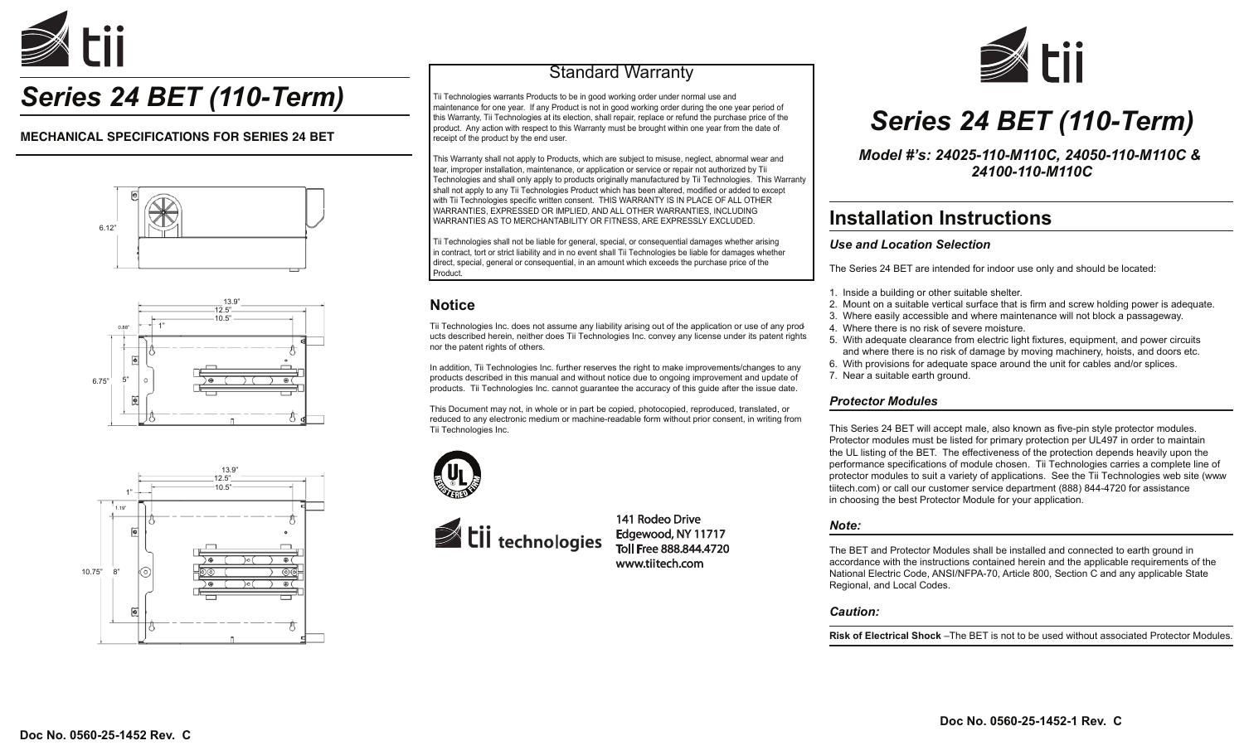

# *Series 24 BET (110-Term)*

### **MECHANICAL SPECIFICATIONS FOR SERIES 24 BET**







## Standard Warranty

Tii Technologies warrants Products to be in good working order under normal use and maintenance for one year. If any Product is not in good working order during the one year period of this Warranty, Tii Technologies at its election, shall repair, replace or refund the purchase price of the product. Any action with respect to this Warranty must be brought within one year from the date of receipt of the product by the end user.

This Warranty shall not apply to Products, which are subject to misuse, neglect, abnormal wear and tear, improper installation, maintenance, or application or service or repair not authorized by Tii Technologies and shall only apply to products originally manufactured by Tii Technologies. This Warranty shall not apply to any Tii Technologies Product which has been altered, modified or added to except with Tii Technologies specific written consent. THIS WARRANTY IS IN PLACE OF ALL OTHER WARRANTIES, EXPRESSED OR IMPLIED, AND ALL OTHER WARRANTIES, INCLUDING WARRANTIES AS TO MERCHANTABILITY OR FITNESS, ARE EXPRESSLY EXCLUDED.

Tii Technologies shall not be liable for general, special, or consequential damages whether arising in contract, tort or strict liability and in no event shall Tii Technologies be liable for damages whether direct, special, general or consequential, in an amount which exceeds the purchase price of the Product.

### **Notice**

Tii Technologies Inc. does not assume any liability arising out of the application or use of any products described herein, neither does Tii Technologies Inc. convey any license under its patent rights nor the patent rights of others.

In addition, Tii Technologies Inc. further reserves the right to make improvements/changes to any products described in this manual and without notice due to ongoing improvement and update of products. Tii Technologies Inc. cannot guarantee the accuracy of this guide after the issue date.

This Document may not, in whole or in part be copied, photocopied, reproduced, translated, or reduced to any electronic medium or machine-readable form without prior consent, in writing from Tii Technologies Inc.





141 Rodeo Drive Edgewood, NY 11717<br>Toll Free 888.844.4720 www.tiitech.com



# *Series 24 BET (110-Term)*

*Model #'s: 24025-110-M110C, 24050-110-M110C & 24100-110-M110C*

## **Installation Instructions**

### *Use and Location Selection*

The Series 24 BET are intended for indoor use only and should be located:

- 1. Inside a building or other suitable shelter.
- 2. Mount on a suitable vertical surface that is firm and screw holding power is adequate.
- 3. Where easily accessible and where maintenance will not block a passageway.
- 4. Where there is no risk of severe moisture.
- 5. With adequate clearance from electric light fixtures, equipment, and power circuits and where there is no risk of damage by moving machinery, hoists, and doors etc.
- 6. With provisions for adequate space around the unit for cables and/or splices.
- 7. Near a suitable earth ground.

#### *Protector Modules*

This Series 24 BET will accept male, also known as five-pin style protector modules. Protector modules must be listed for primary protection per UL497 in order to maintain the UL listing of the BET. The effectiveness of the protection depends heavily upon the performance specifications of module chosen. Tii Technologies carries a complete line of protector modules to suit a variety of applications. See the Tii Technologies web site (www. tiitech.com) or call our customer service department (888) 844-4720 for assistance in choosing the best Protector Module for your application.

#### *Note:*

The BET and Protector Modules shall be installed and connected to earth ground in accordance with the instructions contained herein and the applicable requirements of the National Electric Code, ANSI/NFPA-70, Article 800, Section C and any applicable State Regional, and Local Codes.

*Caution:*

**Risk of Electrical Shock** –The BET is not to be used without associated Protector Modules.